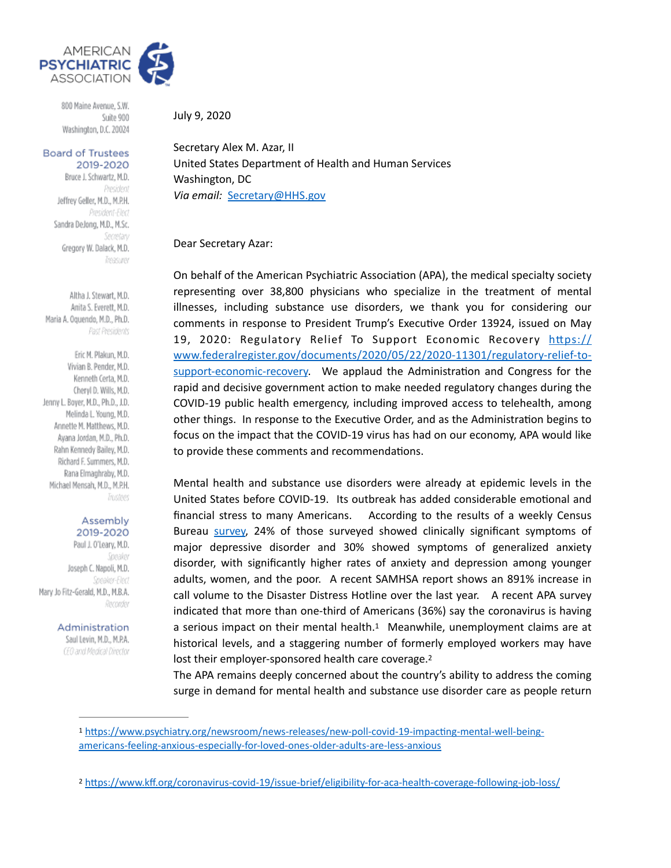

800 Maine Avenue, S.W. Suite 900 Washington, D.C. 20024

#### **Board of Trustees** 2019-2020

Bruce J. Schwartz, M.D. President Jeffrey Geller, M.D., M.P.H. President-Elect Sandra DeJong, M.D., M.Sc. Secretary Gregory W. Dalack, M.D. Treasurer

Altha J. Stewart, M.D. Anita S. Everett, M.D. Maria A. Oquendo, M.D., Ph.D. Past Presidents

Eric M. Plakun, M.D. Vivian B. Pender, M.D. Kenneth Certa, M.D. Cheryl D. Wills, M.D. Jenny L. Boyer, M.D., Ph.D., J.D. Melinda L. Young, M.D. Annette M. Matthews, M.D. Ayana Jordan, M.D., Ph.D. Rahn Kennedy Bailey, M.D. Richard F. Summers, M.D. Rana Elmaghraby, M.D. Michael Mensah, M.D., M.P.H. Trustees

#### Assembly 2019-2020

Paul J. O'Leary, M.D. Speaker Joseph C. Napoli, M.D. **Sneaker-Flect** Mary Jo Fitz-Gerald, M.D., M.B.A. Recorder

Administration

Saul Levin, M.D., M.P.A. (E0 and Medical Director July 9, 2020

Secretary Alex M. Azar, II United States Department of Health and Human Services Washington, DC *Via email:* [Secretary@HHS.gov](mailto:Secretary@HHS.gov)

# Dear Secretary Azar:

On behalf of the American Psychiatric Association (APA), the medical specialty society representing over 38,800 physicians who specialize in the treatment of mental illnesses, including substance use disorders, we thank you for considering our comments in response to President Trump's Executive Order 13924, issued on May 19, 2020: Regulatory Relief To Support Economic Recovery https:// [www.federalregister.gov/documents/2020/05/22/2020-11301/regulatory-relief-to](https://www.federalregister.gov/documents/2020/05/22/2020-11301/regulatory-relief-to-support-economic-recovery)[support-economic-recovery](https://www.federalregister.gov/documents/2020/05/22/2020-11301/regulatory-relief-to-support-economic-recovery). We applaud the Administration and Congress for the rapid and decisive government action to make needed regulatory changes during the COVID-19 public health emergency, including improved access to telehealth, among other things. In response to the Executive Order, and as the Administration begins to focus on the impact that the COVID-19 virus has had on our economy, APA would like to provide these comments and recommendations.

Mental health and substance use disorders were already at epidemic levels in the United States before COVID-19. Its outbreak has added considerable emotional and financial stress to many Americans. According to the results of a weekly Census Bureau [survey,](https://www.cdc.gov/nchs/covid19/pulse/mental-health.htm) 24% of those surveyed showed clinically significant symptoms of major depressive disorder and 30% showed symptoms of generalized anxiety disorder, with significantly higher rates of anxiety and depression among younger adults, women, and the poor. A recent SAMHSA report shows an 891% increase in call volume to the Disaster Distress Hotline over the last year. A recent APA survey indicated that more than one-third of Americans (36%) say the coronavirus is having a serious impact on their mental health.<sup>[1](#page-0-0)</sup> Meanwhile, unemployment claims are at historical levels, and a staggering number of formerly employed workers may have lost their employer-sponsored health care coverage.<sup>2</sup>

<span id="page-0-3"></span><span id="page-0-2"></span>The APA remains deeply concerned about the country's ability to address the coming surge in demand for mental health and substance use disorder care as people return

<span id="page-0-0"></span>[<sup>1</sup>](#page-0-2) https://www.psychiatry.org/newsroom/news-releases/new-poll-covid-19-impacting-mental-well-being[americans-feeling-anxious-especially-for-loved-ones-older-adults-are-less-anxious](https://www.psychiatry.org/newsroom/news-releases/new-poll-covid-19-impacting-mental-well-being-americans-feeling-anxious-especially-for-loved-ones-older-adults-are-less-anxious)

<span id="page-0-1"></span><sup>&</sup>lt;sup>[2](#page-0-3)</sup> https://www.kff.org/coronavirus-covid-19/issue-brief/eligibility-for-aca-health-coverage-following-job-loss/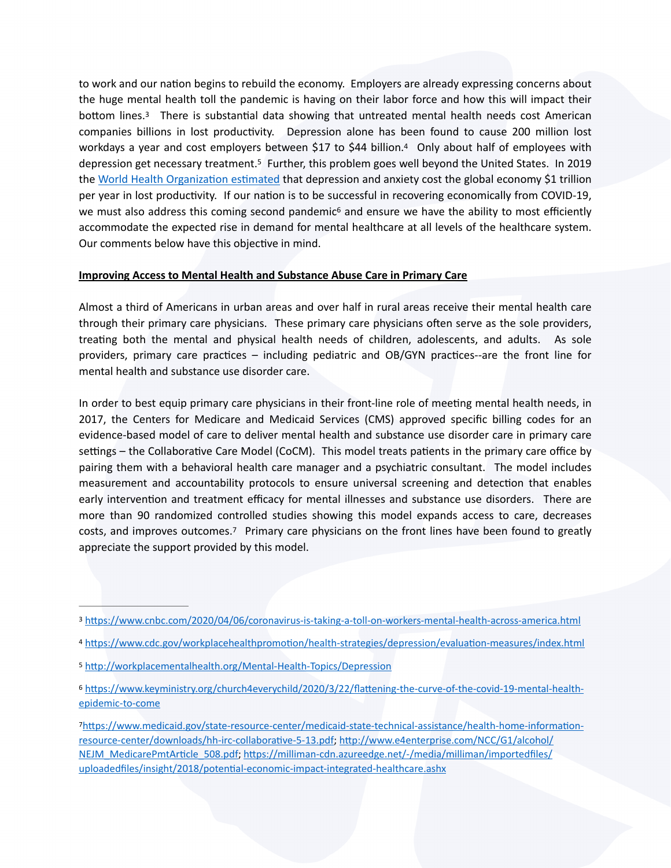<span id="page-1-7"></span><span id="page-1-6"></span><span id="page-1-5"></span>to work and our nation begins to rebuild the economy. Employers are already expressing concerns about the huge mental health toll the pandemic is having on their labor force and how this will impact their bottom lines. $3$  There is substantial data showing that untreated mental health needs cost American companies billions in lost productivity. Depression alone has been found to cause 200 million lost workdaysa year and cost employers between \$17 to \$[4](#page-1-1)4 billion.<sup>4</sup> Only about half of employees with depression get necessary treatment.<sup>5</sup> Further, this problem goes well beyond the United States[.](#page-1-2) In 2019 the World Health Organization estimated that depression and anxiety cost the global economy \$1 trillion per year in lost productivity. If our nation is to be successful in recovering economically from COVID-19, we must also address this coming second pandemic<sup>[6](#page-1-3)</sup> and ensure we have the ability to most efficiently accommodate the expected rise in demand for mental healthcare at all levels of the healthcare system. Our comments below have this objective in mind.

## <span id="page-1-8"></span>**Improving Access to Mental Health and Substance Abuse Care in Primary Care**

Almost a third of Americans in urban areas and over half in rural areas receive their mental health care through their primary care physicians. These primary care physicians often serve as the sole providers, treating both the mental and physical health needs of children, adolescents, and adults. As sole providers, primary care practices – including pediatric and OB/GYN practices--are the front line for mental health and substance use disorder care.

In order to best equip primary care physicians in their front-line role of meeting mental health needs, in 2017, the Centers for Medicare and Medicaid Services (CMS) approved specific billing codes for an evidence-based model of care to deliver mental health and substance use disorder care in primary care settings – the Collaborative Care Model (CoCM). This model treats patients in the primary care office by pairing them with a behavioral health care manager and a psychiatric consultant. The model includes measurement and accountability protocols to ensure universal screening and detection that enables early intervention and treatment efficacy for mental illnesses and substance use disorders. There are more than 90 randomized controlled studies showing this model expands access to care, decreases costs, and improves outcomes.<sup>[7](#page-1-4)</sup> Primary care physicians on the front lines have been found to greatly appreciate the support provided by this model.

<span id="page-1-9"></span><span id="page-1-0"></span>[<sup>3</sup>](#page-1-5) https://www.cnbc.com/2020/04/06/coronavirus-is-taking-a-toll-on-workers-mental-health-across-america.html

<span id="page-1-1"></span>[<sup>4</sup>](#page-1-6) https://www.cdc.gov/workplacehealthpromotion/health-strategies/depression/evaluation-measures/index.html

<span id="page-1-2"></span>[<sup>5</sup>](#page-1-7) http://workplacementalhealth.org/Mental-Health-Topics/Depression

<span id="page-1-3"></span>[<sup>6</sup>](#page-1-8) https://www.keyministry.org/church4everychild/2020/3/22/flattening-the-curve-of-the-covid-19-mental-health[epidemic-to-come](https://www.keyministry.org/church4everychild/2020/3/22/flattening-the-curve-of-the-covid-19-mental-health-epidemic-to-come)

<span id="page-1-4"></span> $7$ https://www.medicaid.gov/state-resource-center/medicaid-state-technical-assistance/health-home-informationresource-center/downloads/hh-irc-collaborative-5-13.pdf; http://www.e4enterprise.com/NCC/G1/alcohol/ NEJM\_MedicarePmtArticle\_508.pdf; https://milliman-cdn.azureedge.net/-/media/milliman/importedfiles/ uploadedfiles/insight/2018/potential-economic-impact-integrated-healthcare.ashx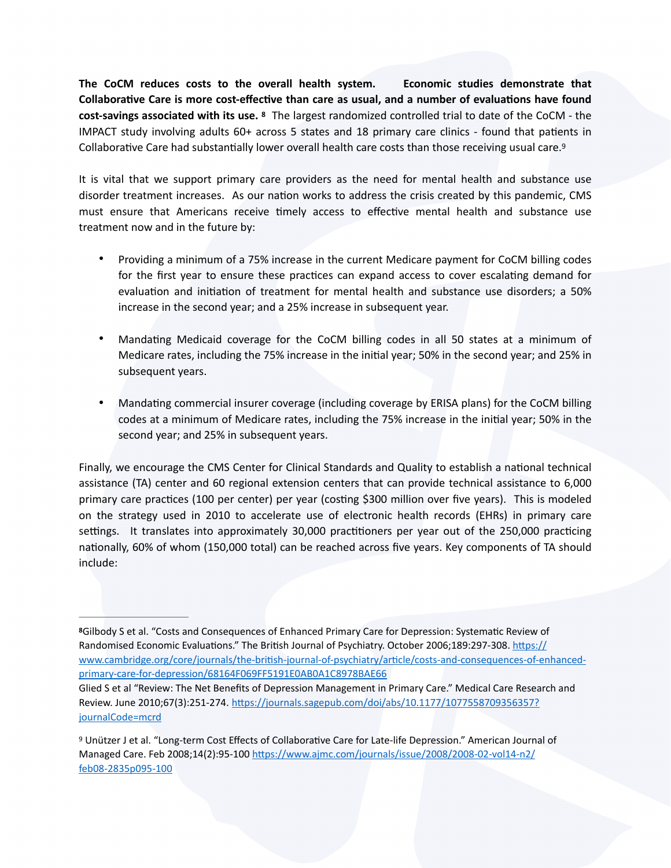<span id="page-2-2"></span>**The CoCM reduces costs to the overall health system. Economic studies demonstrate that**  Collaborative Care is more cost-effective than care as usual, and a number of evaluations have found **cost-savings associated with its use.** The largest randomized controlled trial to date of the CoCM - the **[8](#page-2-0)** IMPACT study involving adults 60+ across 5 states and 18 primary care clinics - found that patients in Collaborative Care had substantially lower overall health care costs than those receiving usual care.<sup>9</sup>

It is vital that we support primary care providers as the need for mental health and substance use disorder treatment increases. As our nation works to address the crisis created by this pandemic, CMS must ensure that Americans receive timely access to effective mental health and substance use treatment now and in the future by:

- <span id="page-2-3"></span>• Providing a minimum of a 75% increase in the current Medicare payment for CoCM billing codes for the first year to ensure these practices can expand access to cover escalating demand for evaluation and initiation of treatment for mental health and substance use disorders; a 50% increase in the second year; and a 25% increase in subsequent year.
- Mandating Medicaid coverage for the CoCM billing codes in all 50 states at a minimum of Medicare rates, including the 75% increase in the initial year; 50% in the second year; and 25% in subsequent years.
- Mandating commercial insurer coverage (including coverage by ERISA plans) for the CoCM billing codes at a minimum of Medicare rates, including the 75% increase in the initial year; 50% in the second year; and 25% in subsequent years.

Finally, we encourage the CMS Center for Clinical Standards and Quality to establish a national technical assistance (TA) center and 60 regional extension centers that can provide technical assistance to 6,000 primary care practices (100 per center) per year (costing \$300 million over five years). This is modeled on the strategy used in 2010 to accelerate use of electronic health records (EHRs) in primary care settings. It translates into approximately 30,000 practitioners per year out of the 250,000 practicing nationally, 60% of whom (150,000 total) can be reached across five years. Key components of TA should include:

<span id="page-2-0"></span><sup>&</sup>lt;sup>[8](#page-2-2)</sup>Gilbody S et al. "Costs and Consequences of Enhanced Primary Care for Depression: Systematic Review of Randomised Economic Evaluations." The British Journal of Psychiatry. October 2006;189:297-308. https:// www.cambridge.org/core/journals/the-british-journal-of-psychiatry/article/costs-and-consequences-of-enhanced[primary-care-for-depression/68164F069FF5191E0AB0A1C8978BAE66](https://www.cambridge.org/core/journals/the-british-journal-of-psychiatry/article/costs-and-consequences-of-enhanced-primary-care-for-depression/68164F069FF5191E0AB0A1C8978BAE66)

Glied S et al "Review: The Net Benefits of Depression Management in Primary Care." Medical Care Research and Review. June 2010;67(3):251-274. https://journals.sagepub.com/doi/abs/10.1177/1077558709356357? [journalCode=mcrd](https://journals.sagepub.com/doi/abs/10.1177/1077558709356357?journalCode=mcrd)

<span id="page-2-1"></span><sup>&</sup>lt;sup>[9](#page-2-3)</sup> Unützer J et al. "Long-term Cost Effects of Collaborative Care for Late-life Depression." American Journal of Managed Care. Feb 2008;14(2):95-100 https://www.ajmc.com/journals/issue/2008/2008-02-vol14-n2/ [feb08-2835p095-100](https://www.ajmc.com/journals/issue/2008/2008-02-vol14-n2/feb08-2835p095-100)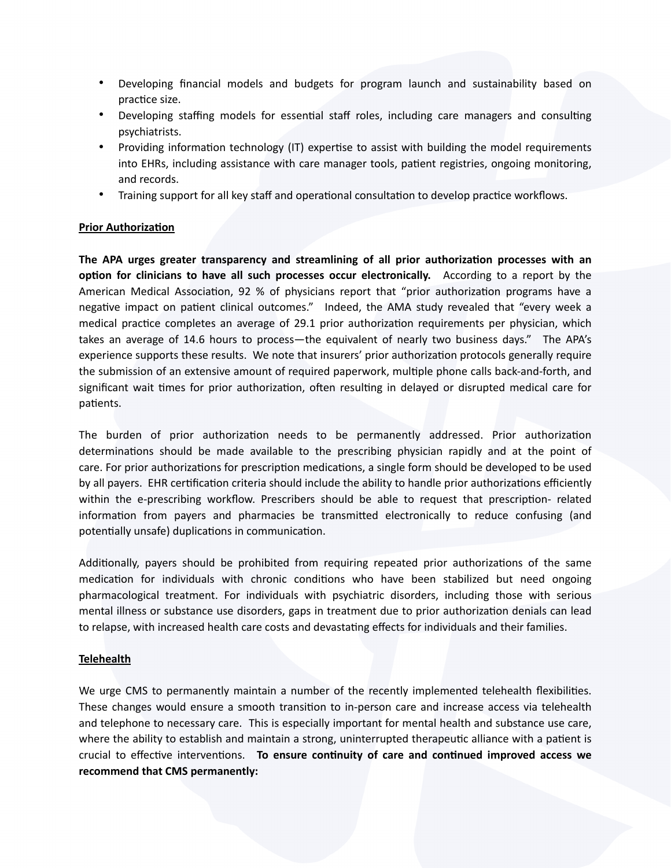- Developing financial models and budgets for program launch and sustainability based on practice size.
- Developing staffing models for essential staff roles, including care managers and consulting psychiatrists.
- Providing information technology (IT) expertise to assist with building the model requirements into EHRs, including assistance with care manager tools, patient registries, ongoing monitoring, and records.
- Training support for all key staff and operational consultation to develop practice workflows.

# **Prior Authorization**

The APA urges greater transparency and streamlining of all prior authorization processes with an **option for clinicians to have all such processes occur electronically.** According to a report by the American Medical Association, 92 % of physicians report that "prior authorization programs have a negative impact on patient clinical outcomes." Indeed, the AMA study revealed that "every week a medical practice completes an average of 29.1 prior authorization requirements per physician, which takes an average of 14.6 hours to process—the equivalent of nearly two business days." The APA's experience supports these results. We note that insurers' prior authorization protocols generally require the submission of an extensive amount of required paperwork, multiple phone calls back-and-forth, and significant wait times for prior authorization, often resulting in delayed or disrupted medical care for patients.

The burden of prior authorization needs to be permanently addressed. Prior authorization determinations should be made available to the prescribing physician rapidly and at the point of care. For prior authorizations for prescription medications, a single form should be developed to be used by all payers. EHR certification criteria should include the ability to handle prior authorizations efficiently within the e-prescribing workflow. Prescribers should be able to request that prescription- related information from payers and pharmacies be transmitted electronically to reduce confusing (and potentially unsafe) duplications in communication.

Additionally, payers should be prohibited from requiring repeated prior authorizations of the same medication for individuals with chronic conditions who have been stabilized but need ongoing pharmacological treatment. For individuals with psychiatric disorders, including those with serious mental illness or substance use disorders, gaps in treatment due to prior authorization denials can lead to relapse, with increased health care costs and devastating effects for individuals and their families.

#### **Telehealth**

We urge CMS to permanently maintain a number of the recently implemented telehealth flexibilities. These changes would ensure a smooth transition to in-person care and increase access via telehealth and telephone to necessary care. This is especially important for mental health and substance use care, where the ability to establish and maintain a strong, uninterrupted therapeutic alliance with a patient is crucial to effective interventions. **To ensure continuity of care and continued improved access we recommend that CMS permanently:**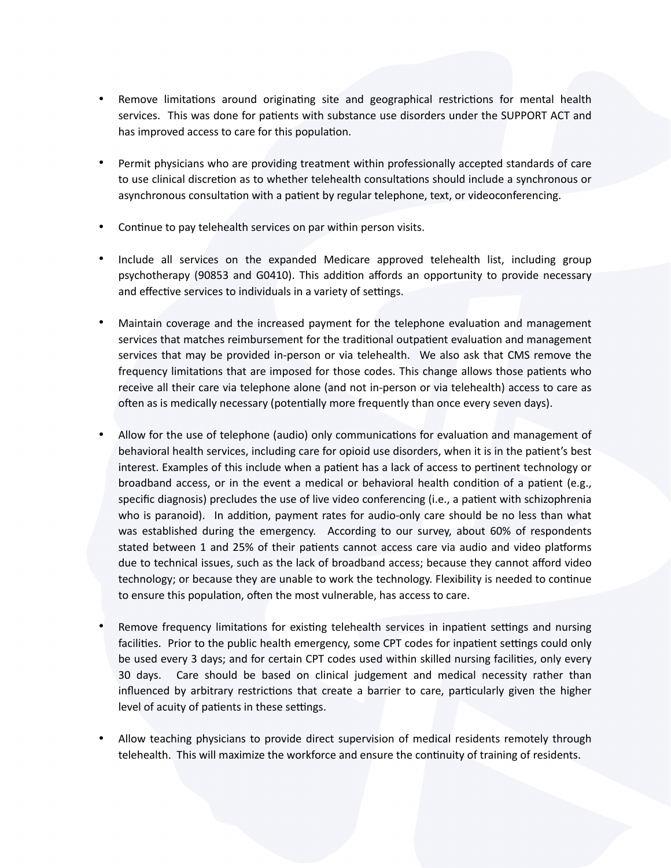- Remove limitations around originating site and geographical restrictions for mental health services. This was done for patients with substance use disorders under the SUPPORT ACT and has improved access to care for this population.
- Permit physicians who are providing treatment within professionally accepted standards of care to use clinical discretion as to whether telehealth consultations should include a synchronous or asynchronous consultation with a patient by regular telephone, text, or videoconferencing.
- Continue to pay telehealth services on par within person visits.
- Include all services on the expanded Medicare approved telehealth list, including group psychotherapy (90853 and G0410). This addition affords an opportunity to provide necessary and effective services to individuals in a variety of settings.
- Maintain coverage and the increased payment for the telephone evaluation and management services that matches reimbursement for the traditional outpatient evaluation and management services that may be provided in-person or via telehealth. We also ask that CMS remove the frequency limitations that are imposed for those codes. This change allows those patients who receive all their care via telephone alone (and not in-person or via telehealth) access to care as often as is medically necessary (potentially more frequently than once every seven days).
- Allow for the use of telephone (audio) only communications for evaluation and management of behavioral health services, including care for opioid use disorders, when it is in the patient's best interest. Examples of this include when a patient has a lack of access to pertinent technology or broadband access, or in the event a medical or behavioral health condition of a patient (e.g., specific diagnosis) precludes the use of live video conferencing (i.e., a patient with schizophrenia who is paranoid). In addition, payment rates for audio-only care should be no less than what was established during the emergency. According to our survey, about 60% of respondents stated between 1 and 25% of their patients cannot access care via audio and video platforms due to technical issues, such as the lack of broadband access; because they cannot afford video technology; or because they are unable to work the technology. Flexibility is needed to continue to ensure this population, often the most vulnerable, has access to care.
- Remove frequency limitations for existing telehealth services in inpatient settings and nursing facilities. Prior to the public health emergency, some CPT codes for inpatient settings could only be used every 3 days; and for certain CPT codes used within skilled nursing facilities, only every 30 days. Care should be based on clinical judgement and medical necessity rather than influenced by arbitrary restrictions that create a barrier to care, particularly given the higher level of acuity of patients in these settings.
- Allow teaching physicians to provide direct supervision of medical residents remotely through telehealth. This will maximize the workforce and ensure the continuity of training of residents.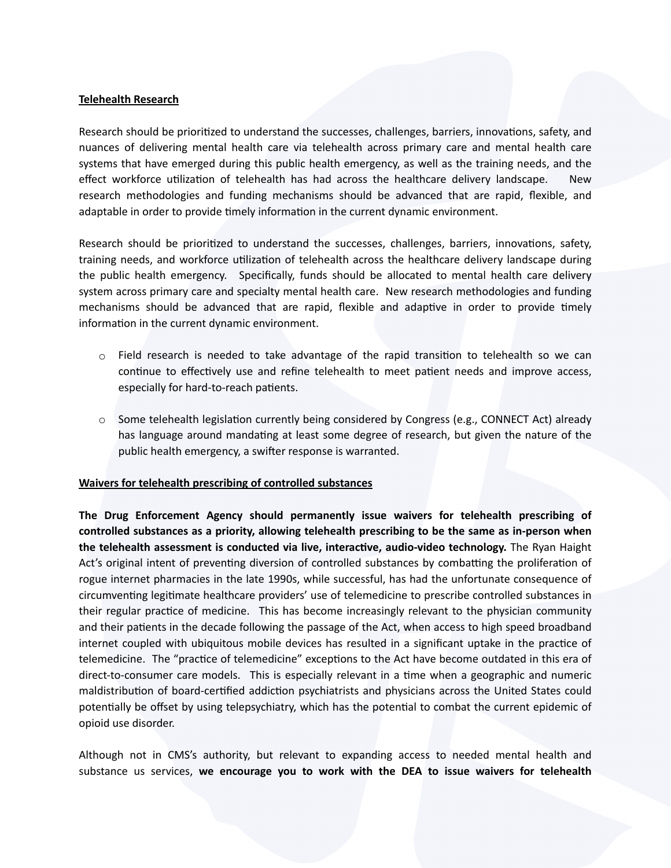### **Telehealth Research**

Research should be prioritized to understand the successes, challenges, barriers, innovations, safety, and nuances of delivering mental health care via telehealth across primary care and mental health care systems that have emerged during this public health emergency, as well as the training needs, and the effect workforce utilization of telehealth has had across the healthcare delivery landscape. New research methodologies and funding mechanisms should be advanced that are rapid, flexible, and adaptable in order to provide timely information in the current dynamic environment.

Research should be prioritized to understand the successes, challenges, barriers, innovations, safety, training needs, and workforce utilization of telehealth across the healthcare delivery landscape during the public health emergency.    Specifically, funds should be allocated to mental health care delivery system across primary care and specialty mental health care. New research methodologies and funding mechanisms should be advanced that are rapid, flexible and adaptive in order to provide timely information in the current dynamic environment.

- $\circ$  Field research is needed to take advantage of the rapid transition to telehealth so we can continue to effectively use and refine telehealth to meet patient needs and improve access, especially for hard-to-reach patients.
- $\circ$  Some telehealth legislation currently being considered by Congress (e.g., CONNECT Act) already has language around mandating at least some degree of research, but given the nature of the public health emergency, a swifter response is warranted.

# **Waivers for telehealth prescribing of controlled substances**

**The Drug Enforcement Agency should permanently issue waivers for telehealth prescribing of controlled substances as a priority, allowing telehealth prescribing to be the same as in-person when**  the telehealth assessment is conducted via live, interactive, audio-video technology. The Ryan Haight Act's original intent of preventing diversion of controlled substances by combatting the proliferation of rogue internet pharmacies in the late 1990s, while successful, has had the unfortunate consequence of circumventing legitimate healthcare providers' use of telemedicine to prescribe controlled substances in their regular practice of medicine. This has become increasingly relevant to the physician community and their patients in the decade following the passage of the Act, when access to high speed broadband internet coupled with ubiquitous mobile devices has resulted in a significant uptake in the practice of telemedicine. The "practice of telemedicine" exceptions to the Act have become outdated in this era of direct-to-consumer care models. This is especially relevant in a time when a geographic and numeric maldistribution of board-certified addiction psychiatrists and physicians across the United States could potentially be offset by using telepsychiatry, which has the potential to combat the current epidemic of opioid use disorder.

Although not in CMS's authority, but relevant to expanding access to needed mental health and substance us services, **we encourage you to work with the DEA to issue waivers for telehealth**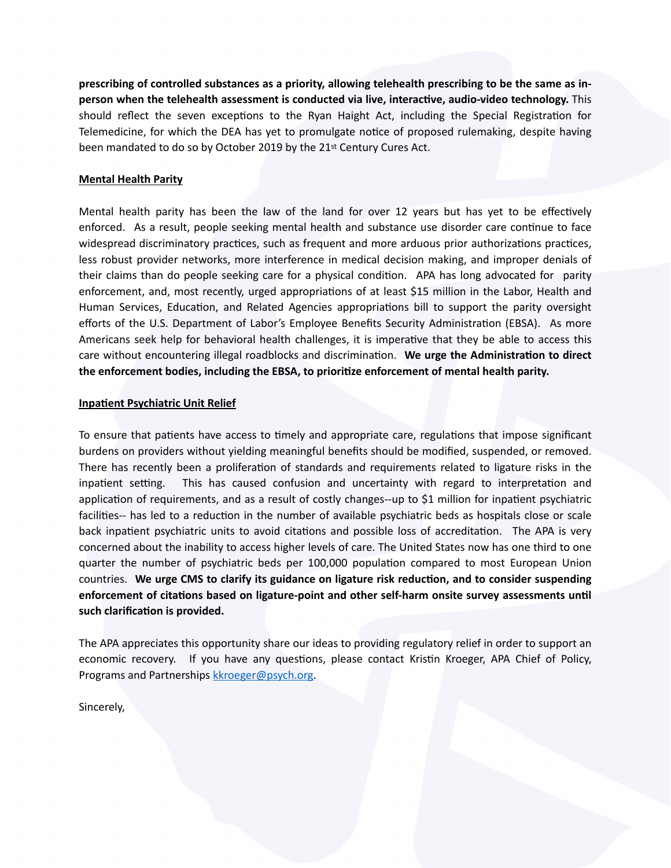**prescribing of controlled substances as a priority, allowing telehealth prescribing to be the same as in**person when the telehealth assessment is conducted via live, interactive, audio-video technology. This should reflect the seven exceptions to the Ryan Haight Act, including the Special Registration for Telemedicine, for which the DEA has yet to promulgate notice of proposed rulemaking, despite having been mandated to do so by October 2019 by the 21st Century Cures Act.

### **Mental Health Parity**

Mental health parity has been the law of the land for over 12 years but has yet to be effectively enforced. As a result, people seeking mental health and substance use disorder care continue to face widespread discriminatory practices, such as frequent and more arduous prior authorizations practices, less robust provider networks, more interference in medical decision making, and improper denials of their claims than do people seeking care for a physical condition. APA has long advocated for parity enforcement, and, most recently, urged appropriations of at least \$15 million in the Labor, Health and Human Services, Education, and Related Agencies appropriations bill to support the parity oversight efforts of the U.S. Department of Labor's Employee Benefits Security Administration (EBSA). As more Americans seek help for behavioral health challenges, it is imperative that they be able to access this care without encountering illegal roadblocks and discrimination. We urge the Administration to direct the enforcement bodies, including the EBSA, to prioritize enforcement of mental health parity.

## **Inpatient Psychiatric Unit Relief**

To ensure that patients have access to timely and appropriate care, regulations that impose significant burdens on providers without yielding meaningful benefits should be modified, suspended, or removed. There has recently been a proliferation of standards and requirements related to ligature risks in the inpatient setting. This has caused confusion and uncertainty with regard to interpretation and application of requirements, and as a result of costly changes--up to \$1 million for inpatient psychiatric facilities-- has led to a reduction in the number of available psychiatric beds as hospitals close or scale back inpatient psychiatric units to avoid citations and possible loss of accreditation. The APA is very concerned about the inability to access higher levels of care. The United States now has one third to one quarter the number of psychiatric beds per 100,000 population compared to most European Union countries. We urge CMS to clarify its guidance on ligature risk reduction, and to consider suspending enforcement of citations based on ligature-point and other self-harm onsite survey assessments until such clarification is provided.

The APA appreciates this opportunity share our ideas to providing regulatory relief in order to support an economic recovery. If you have any questions, please contact Kristin Kroeger, APA Chief of Policy, Programs and Partnerships [kkroeger@psych.org](mailto:kkroeger@psych.org).

Sincerely,